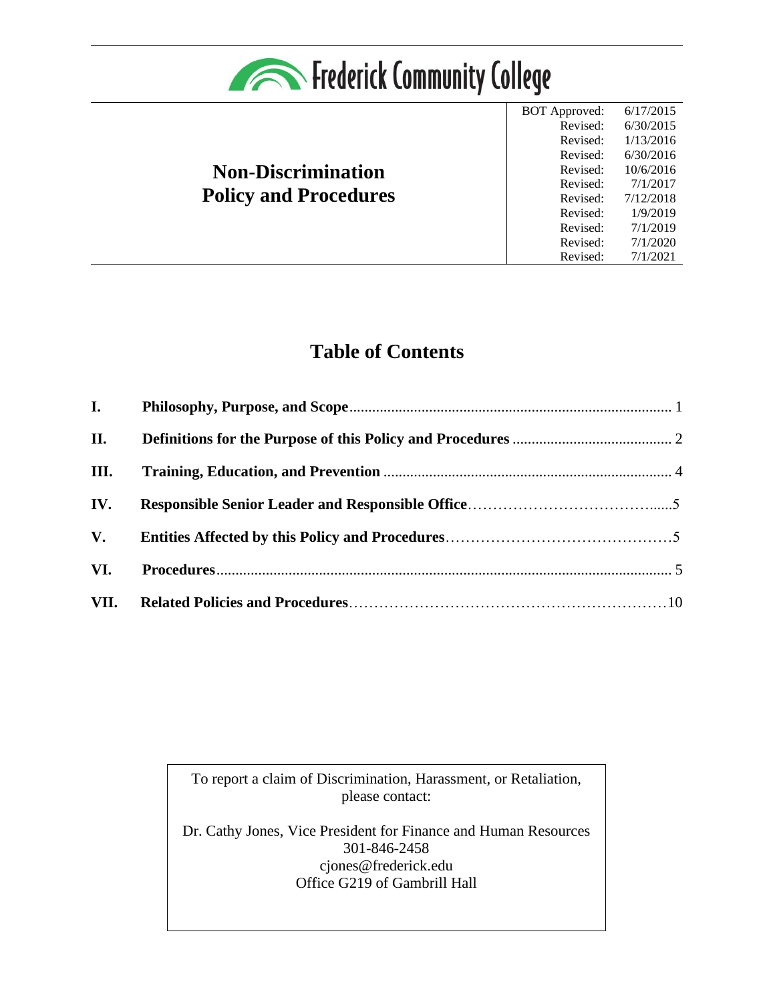

# **Non-Discrimination Policy and Procedures**

BOT Approved: 6/17/2015 Revised: Revised: Revised: Revised: Revised: Revised: Revised: Revised: Revised: Revised: 6/30/2015 1/13/2016 6/30/2016 10/6/2016 7/1/2017 7/12/2018 1/9/2019 7/1/2019 7/1/2020 7/1/2021

# **Table of Contents**

| <b>I.</b> |  |
|-----------|--|
| II.       |  |
| III.      |  |
| IV.       |  |
| V.        |  |
| VI.       |  |
| VII.      |  |

To report a claim of Discrimination, Harassment, or Retaliation, please contact:

Dr. Cathy Jones, Vice President for Finance and Human Resources 301-846-2458 cjones@frederick.edu Office G219 of Gambrill Hall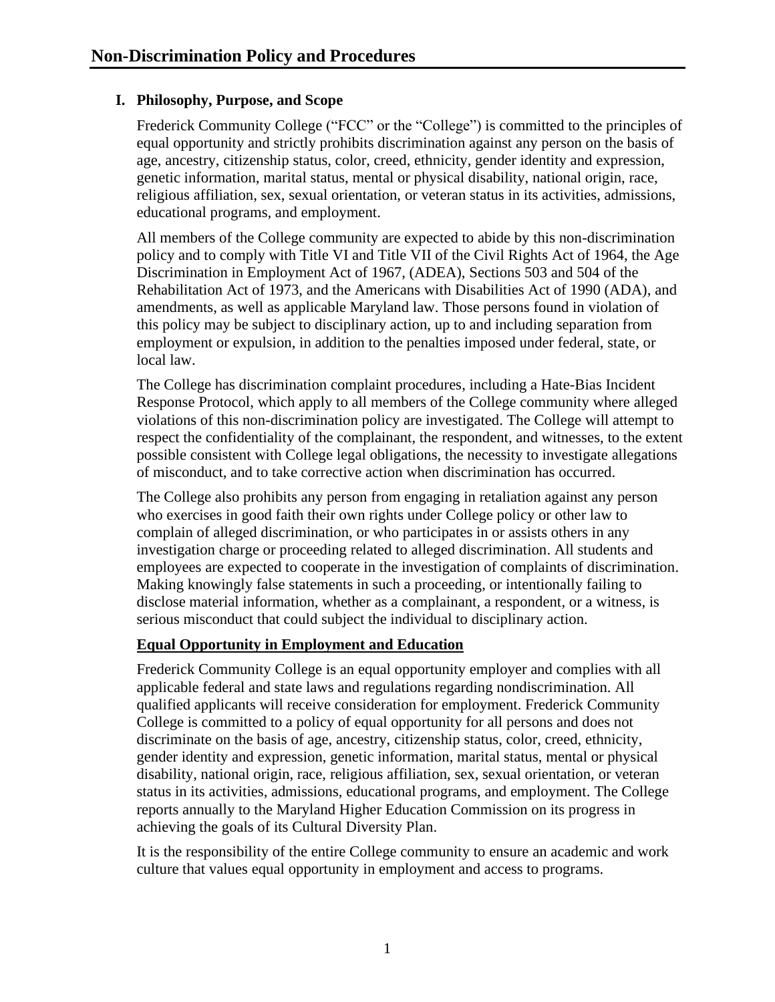### <span id="page-1-0"></span>**I. Philosophy, Purpose, and Scope**

Frederick Community College ("FCC" or the "College") is committed to the principles of equal opportunity and strictly prohibits discrimination against any person on the basis of age, ancestry, citizenship status, color, creed, ethnicity, gender identity and expression, genetic information, marital status, mental or physical disability, national origin, race, religious affiliation, sex, sexual orientation, or veteran status in its activities, admissions, educational programs, and employment.

All members of the College community are expected to abide by this non-discrimination policy and to comply with Title VI and Title VII of the Civil Rights Act of 1964, the Age Discrimination in Employment Act of 1967, (ADEA), Sections 503 and 504 of the Rehabilitation Act of 1973, and the Americans with Disabilities Act of 1990 (ADA), and amendments, as well as applicable Maryland law. Those persons found in violation of this policy may be subject to disciplinary action, up to and including separation from employment or expulsion, in addition to the penalties imposed under federal, state, or local law.

The College has discrimination complaint procedures, including a Hate-Bias Incident Response Protocol, which apply to all members of the College community where alleged violations of this non-discrimination policy are investigated. The College will attempt to respect the confidentiality of the complainant, the respondent, and witnesses, to the extent possible consistent with College legal obligations, the necessity to investigate allegations of misconduct, and to take corrective action when discrimination has occurred.

The College also prohibits any person from engaging in retaliation against any person who exercises in good faith their own rights under College policy or other law to complain of alleged discrimination, or who participates in or assists others in any investigation charge or proceeding related to alleged discrimination. All students and employees are expected to cooperate in the investigation of complaints of discrimination. Making knowingly false statements in such a proceeding, or intentionally failing to disclose material information, whether as a complainant, a respondent, or a witness, is serious misconduct that could subject the individual to disciplinary action.

#### **Equal Opportunity in Employment and Education**

Frederick Community College is an equal opportunity employer and complies with all applicable federal and state laws and regulations regarding nondiscrimination. All qualified applicants will receive consideration for employment. Frederick Community College is committed to a policy of equal opportunity for all persons and does not discriminate on the basis of age, ancestry, citizenship status, color, creed, ethnicity, gender identity and expression, genetic information, marital status, mental or physical disability, national origin, race, religious affiliation, sex, sexual orientation, or veteran status in its activities, admissions, educational programs, and employment. The College reports annually to the Maryland Higher Education Commission on its progress in achieving the goals of its Cultural Diversity Plan.

It is the responsibility of the entire College community to ensure an academic and work culture that values equal opportunity in employment and access to programs.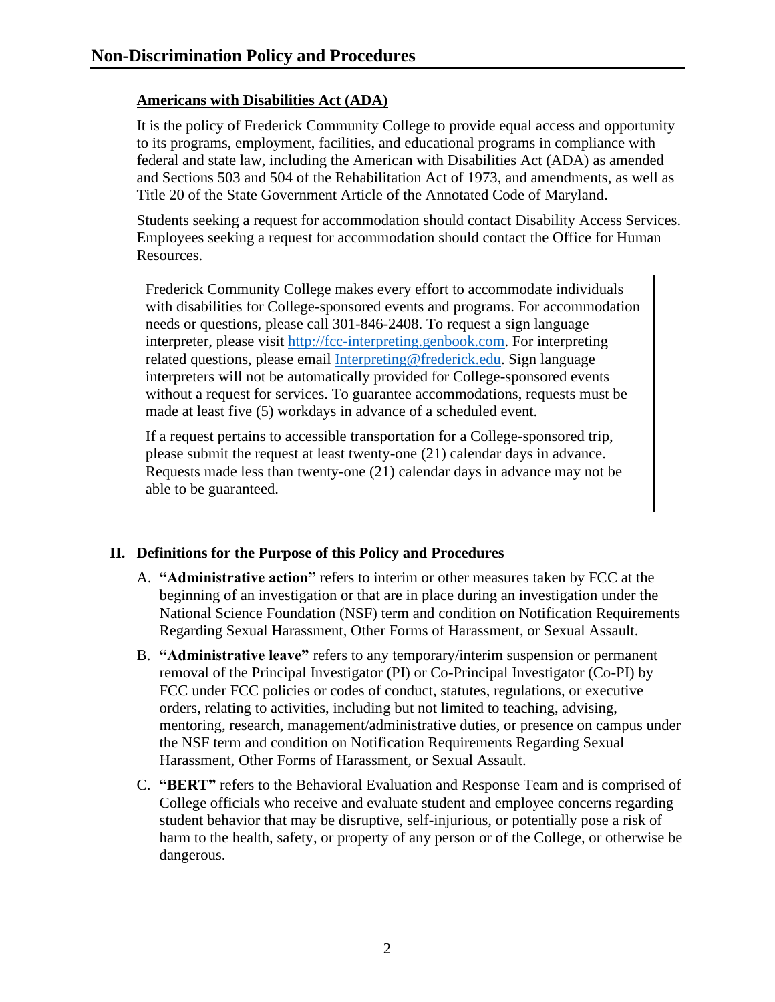## **Americans with Disabilities Act (ADA)**

It is the policy of Frederick Community College to provide equal access and opportunity to its programs, employment, facilities, and educational programs in compliance with federal and state law, including the American with Disabilities Act (ADA) as amended and Sections 503 and 504 of the Rehabilitation Act of 1973, and amendments, as well as Title 20 of the State Government Article of the Annotated Code of Maryland.

Students seeking a request for accommodation should contact Disability Access Services. Employees seeking a request for accommodation should contact the Office for Human Resources.

Frederick Community College makes every effort to accommodate individuals with disabilities for College-sponsored events and programs. For accommodation needs or questions, please call 301-846-2408. To request a sign language interpreter, please visit [http://fcc-interpreting.genbook.com.](http://fcc-interpreting.genbook.com/) For interpreting related questions, please email [Interpreting@frederick.edu.](mailto:Interpreting@frederick.edu) Sign language interpreters will not be automatically provided for College-sponsored events without a request for services. To guarantee accommodations, requests must be made at least five (5) workdays in advance of a scheduled event.

If a request pertains to accessible transportation for a College-sponsored trip, please submit the request at least twenty-one (21) calendar days in advance. Requests made less than twenty-one (21) calendar days in advance may not be able to be guaranteed.

## <span id="page-2-0"></span>**II. Definitions for the Purpose of this Policy and Procedures**

- A. **"Administrative action"** refers to interim or other measures taken by FCC at the beginning of an investigation or that are in place during an investigation under the National Science Foundation (NSF) term and condition on Notification Requirements Regarding Sexual Harassment, Other Forms of Harassment, or Sexual Assault.
- B. **"Administrative leave"** refers to any temporary/interim suspension or permanent removal of the Principal Investigator (PI) or Co-Principal Investigator (Co-PI) by FCC under FCC policies or codes of conduct, statutes, regulations, or executive orders, relating to activities, including but not limited to teaching, advising, mentoring, research, management/administrative duties, or presence on campus under the NSF term and condition on Notification Requirements Regarding Sexual Harassment, Other Forms of Harassment, or Sexual Assault.
- C. **"BERT"** refers to the Behavioral Evaluation and Response Team and is comprised of College officials who receive and evaluate student and employee concerns regarding student behavior that may be disruptive, self-injurious, or potentially pose a risk of harm to the health, safety, or property of any person or of the College, or otherwise be dangerous.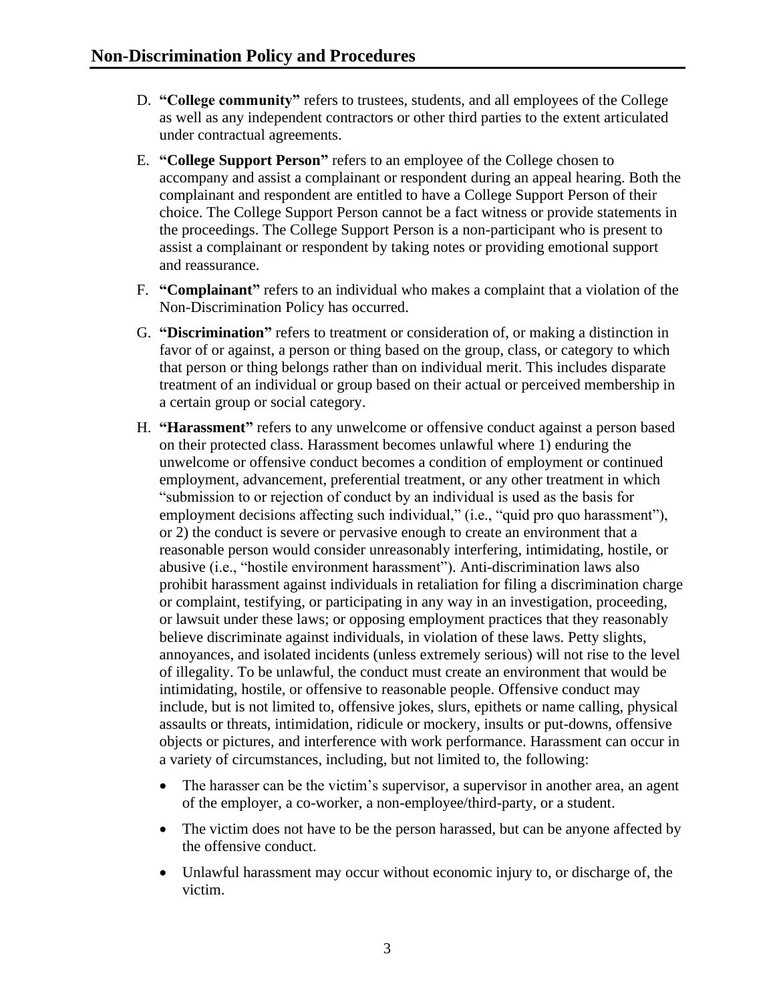- D. **"College community"** refers to trustees, students, and all employees of the College as well as any independent contractors or other third parties to the extent articulated under contractual agreements.
- E. **"College Support Person"** refers to an employee of the College chosen to accompany and assist a complainant or respondent during an appeal hearing. Both the complainant and respondent are entitled to have a College Support Person of their choice. The College Support Person cannot be a fact witness or provide statements in the proceedings. The College Support Person is a non-participant who is present to assist a complainant or respondent by taking notes or providing emotional support and reassurance.
- F. **"Complainant"** refers to an individual who makes a complaint that a violation of the Non-Discrimination Policy has occurred.
- G. **"Discrimination"** refers to treatment or consideration of, or making a distinction in favor of or against, a person or thing based on the group, class, or category to which that person or thing belongs rather than on individual merit. This includes disparate treatment of an individual or group based on their actual or perceived membership in a certain group or social category.
- H. **"Harassment"** refers to any unwelcome or offensive conduct against a person based on their protected class. Harassment becomes unlawful where 1) enduring the unwelcome or offensive conduct becomes a condition of employment or continued employment, advancement, preferential treatment, or any other treatment in which "submission to or rejection of conduct by an individual is used as the basis for employment decisions affecting such individual," (i.e., "quid pro quo harassment"), or 2) the conduct is severe or pervasive enough to create an environment that a reasonable person would consider unreasonably interfering, intimidating, hostile, or abusive (i.e., "hostile environment harassment"). Anti-discrimination laws also prohibit harassment against individuals in retaliation for filing a discrimination charge or complaint, testifying, or participating in any way in an investigation, proceeding, or lawsuit under these laws; or opposing employment practices that they reasonably believe discriminate against individuals, in violation of these laws. Petty slights, annoyances, and isolated incidents (unless extremely serious) will not rise to the level of illegality. To be unlawful, the conduct must create an environment that would be intimidating, hostile, or offensive to reasonable people. Offensive conduct may include, but is not limited to, offensive jokes, slurs, epithets or name calling, physical assaults or threats, intimidation, ridicule or mockery, insults or put-downs, offensive objects or pictures, and interference with work performance. Harassment can occur in a variety of circumstances, including, but not limited to, the following:
	- The harasser can be the victim's supervisor, a supervisor in another area, an agent of the employer, a co-worker, a non-employee/third-party, or a student.
	- The victim does not have to be the person harassed, but can be anyone affected by the offensive conduct.
	- Unlawful harassment may occur without economic injury to, or discharge of, the victim.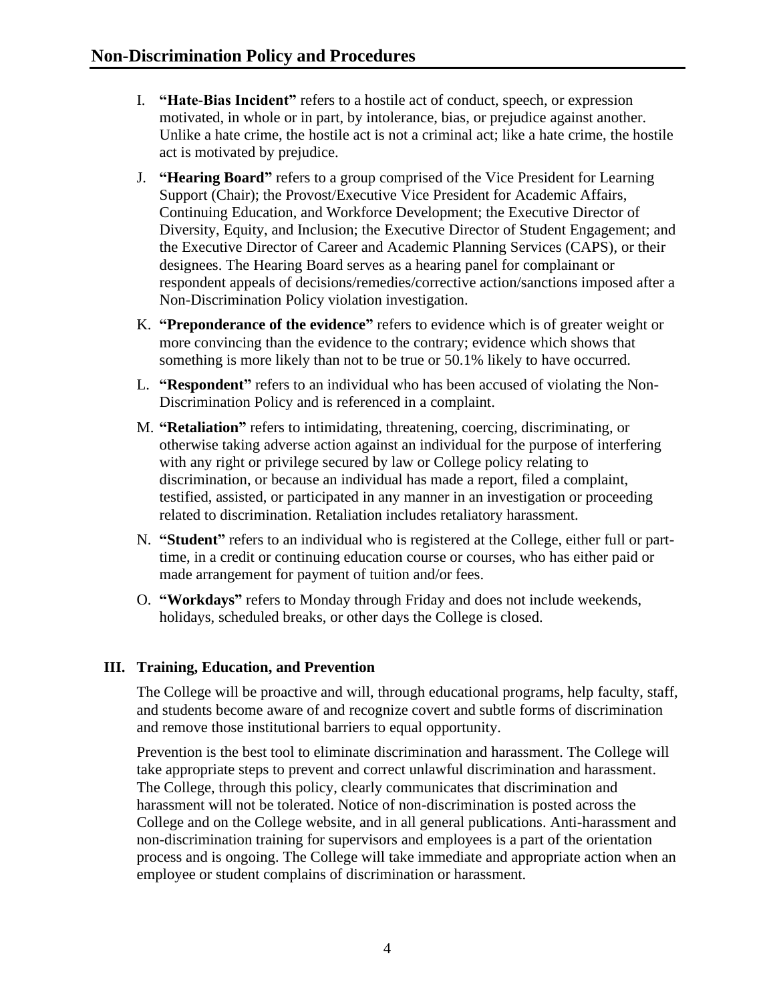- I. **"Hate-Bias Incident"** refers to a hostile act of conduct, speech, or expression motivated, in whole or in part, by intolerance, bias, or prejudice against another. Unlike a hate crime, the hostile act is not a criminal act; like a hate crime, the hostile act is motivated by prejudice.
- J. **"Hearing Board"** refers to a group comprised of the Vice President for Learning Support (Chair); the Provost/Executive Vice President for Academic Affairs, Continuing Education, and Workforce Development; the Executive Director of Diversity, Equity, and Inclusion; the Executive Director of Student Engagement; and the Executive Director of Career and Academic Planning Services (CAPS), or their designees. The Hearing Board serves as a hearing panel for complainant or respondent appeals of decisions/remedies/corrective action/sanctions imposed after a Non-Discrimination Policy violation investigation.
- K. **"Preponderance of the evidence"** refers to evidence which is of greater weight or more convincing than the evidence to the contrary; evidence which shows that something is more likely than not to be true or 50.1% likely to have occurred.
- L. **"Respondent"** refers to an individual who has been accused of violating the Non-Discrimination Policy and is referenced in a complaint.
- M. **"Retaliation"** refers to intimidating, threatening, coercing, discriminating, or otherwise taking adverse action against an individual for the purpose of interfering with any right or privilege secured by law or College policy relating to discrimination, or because an individual has made a report, filed a complaint, testified, assisted, or participated in any manner in an investigation or proceeding related to discrimination. Retaliation includes retaliatory harassment.
- N. **"Student"** refers to an individual who is registered at the College, either full or parttime, in a credit or continuing education course or courses, who has either paid or made arrangement for payment of tuition and/or fees.
- O. **"Workdays"** refers to Monday through Friday and does not include weekends, holidays, scheduled breaks, or other days the College is closed.

#### <span id="page-4-0"></span>**III. Training, Education, and Prevention**

The College will be proactive and will, through educational programs, help faculty, staff, and students become aware of and recognize covert and subtle forms of discrimination and remove those institutional barriers to equal opportunity.

Prevention is the best tool to eliminate discrimination and harassment. The College will take appropriate steps to prevent and correct unlawful discrimination and harassment. The College, through this policy, clearly communicates that discrimination and harassment will not be tolerated. Notice of non-discrimination is posted across the College and on the College website, and in all general publications. Anti-harassment and non-discrimination training for supervisors and employees is a part of the orientation process and is ongoing. The College will take immediate and appropriate action when an employee or student complains of discrimination or harassment.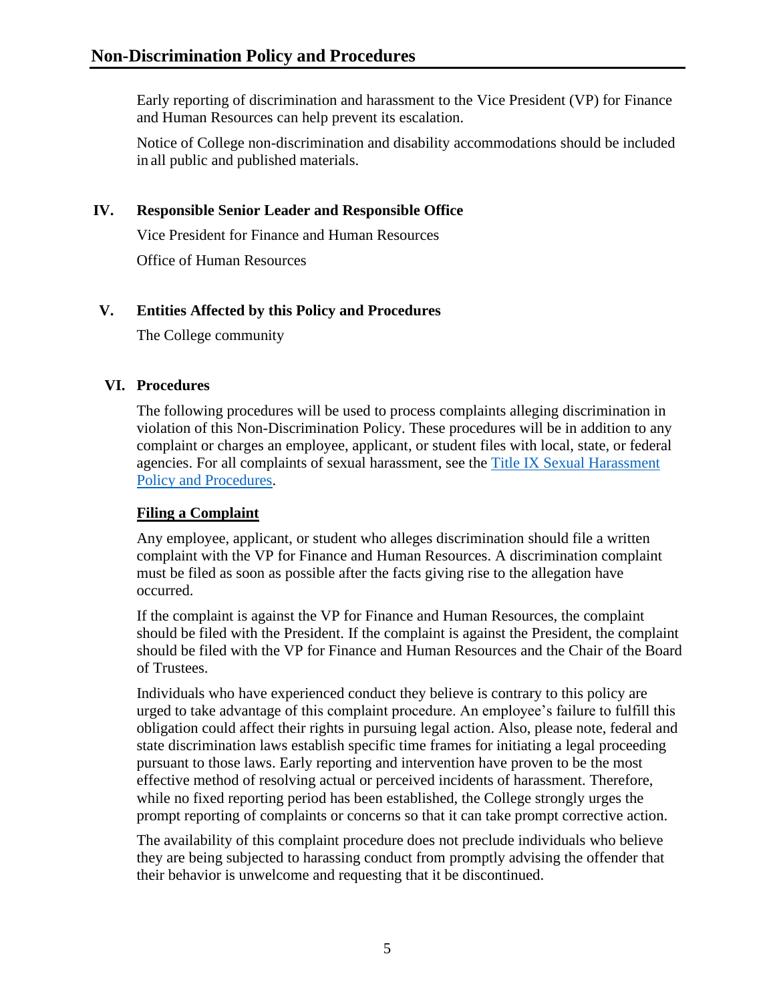Early reporting of discrimination and harassment to the Vice President (VP) for Finance and Human Resources can help prevent its escalation.

Notice of College non-discrimination and disability accommodations should be included in all public and published materials.

### **IV. Responsible Senior Leader and Responsible Office**

Vice President for Finance and Human Resources

Office of Human Resources

#### **V. Entities Affected by this Policy and Procedures**

The College community

#### <span id="page-5-0"></span>**VI. Procedures**

The following procedures will be used to process complaints alleging discrimination in violation of this Non-Discrimination Policy. These procedures will be in addition to any complaint or charges an employee, applicant, or student files with local, state, or federal agencies. For all complaints of sexual harassment, see the [Title IX Sexual Harassment](https://www.frederick.edu/jobs-hr/policies-and-procedures/policyproceduredocuments/titleix.aspx)  [Policy and Procedures.](https://www.frederick.edu/jobs-hr/policies-and-procedures/policyproceduredocuments/titleix.aspx)

#### **Filing a Complaint**

Any employee, applicant, or student who alleges discrimination should file a written complaint with the VP for Finance and Human Resources. A discrimination complaint must be filed as soon as possible after the facts giving rise to the allegation have occurred.

If the complaint is against the VP for Finance and Human Resources, the complaint should be filed with the President. If the complaint is against the President, the complaint should be filed with the VP for Finance and Human Resources and the Chair of the Board of Trustees.

Individuals who have experienced conduct they believe is contrary to this policy are urged to take advantage of this complaint procedure. An employee's failure to fulfill this obligation could affect their rights in pursuing legal action. Also, please note, federal and state discrimination laws establish specific time frames for initiating a legal proceeding pursuant to those laws. Early reporting and intervention have proven to be the most effective method of resolving actual or perceived incidents of harassment. Therefore, while no fixed reporting period has been established, the College strongly urges the prompt reporting of complaints or concerns so that it can take prompt corrective action.

The availability of this complaint procedure does not preclude individuals who believe they are being subjected to harassing conduct from promptly advising the offender that their behavior is unwelcome and requesting that it be discontinued.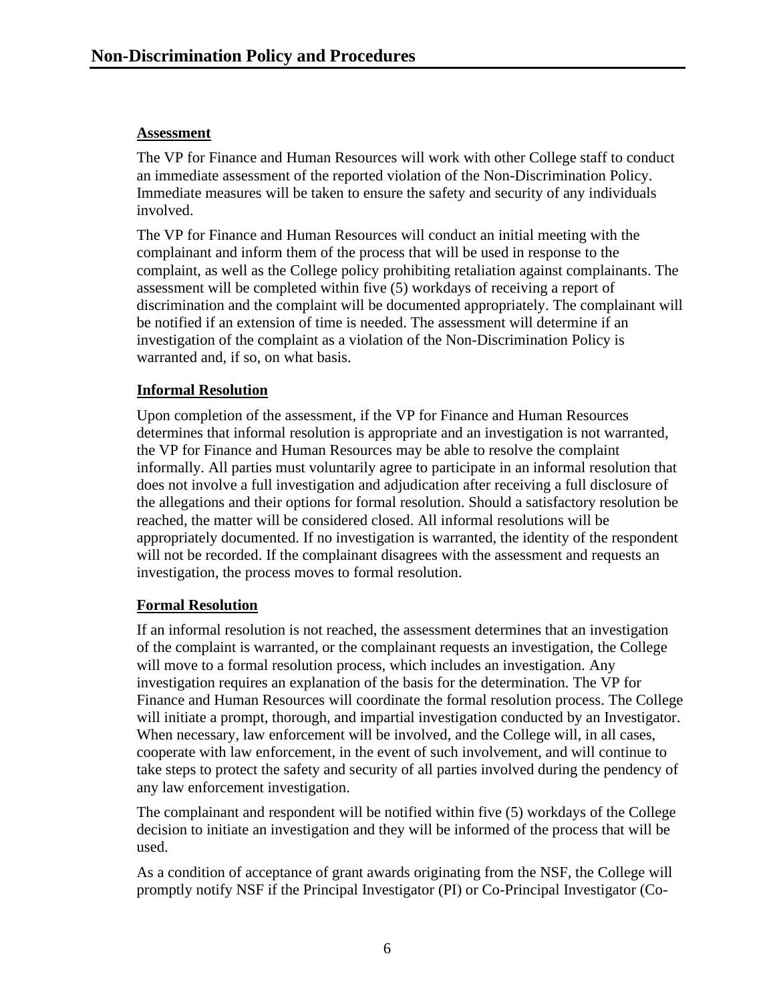#### **Assessment**

The VP for Finance and Human Resources will work with other College staff to conduct an immediate assessment of the reported violation of the Non-Discrimination Policy. Immediate measures will be taken to ensure the safety and security of any individuals involved.

The VP for Finance and Human Resources will conduct an initial meeting with the complainant and inform them of the process that will be used in response to the complaint, as well as the College policy prohibiting retaliation against complainants. The assessment will be completed within five (5) workdays of receiving a report of discrimination and the complaint will be documented appropriately. The complainant will be notified if an extension of time is needed. The assessment will determine if an investigation of the complaint as a violation of the Non-Discrimination Policy is warranted and, if so, on what basis.

### **Informal Resolution**

Upon completion of the assessment, if the VP for Finance and Human Resources determines that informal resolution is appropriate and an investigation is not warranted, the VP for Finance and Human Resources may be able to resolve the complaint informally. All parties must voluntarily agree to participate in an informal resolution that does not involve a full investigation and adjudication after receiving a full disclosure of the allegations and their options for formal resolution. Should a satisfactory resolution be reached, the matter will be considered closed. All informal resolutions will be appropriately documented. If no investigation is warranted, the identity of the respondent will not be recorded. If the complainant disagrees with the assessment and requests an investigation, the process moves to formal resolution.

#### **Formal Resolution**

If an informal resolution is not reached, the assessment determines that an investigation of the complaint is warranted, or the complainant requests an investigation, the College will move to a formal resolution process, which includes an investigation. Any investigation requires an explanation of the basis for the determination. The VP for Finance and Human Resources will coordinate the formal resolution process. The College will initiate a prompt, thorough, and impartial investigation conducted by an Investigator. When necessary, law enforcement will be involved, and the College will, in all cases, cooperate with law enforcement, in the event of such involvement, and will continue to take steps to protect the safety and security of all parties involved during the pendency of any law enforcement investigation.

The complainant and respondent will be notified within five (5) workdays of the College decision to initiate an investigation and they will be informed of the process that will be used.

As a condition of acceptance of grant awards originating from the NSF, the College will promptly notify NSF if the Principal Investigator (PI) or Co-Principal Investigator (Co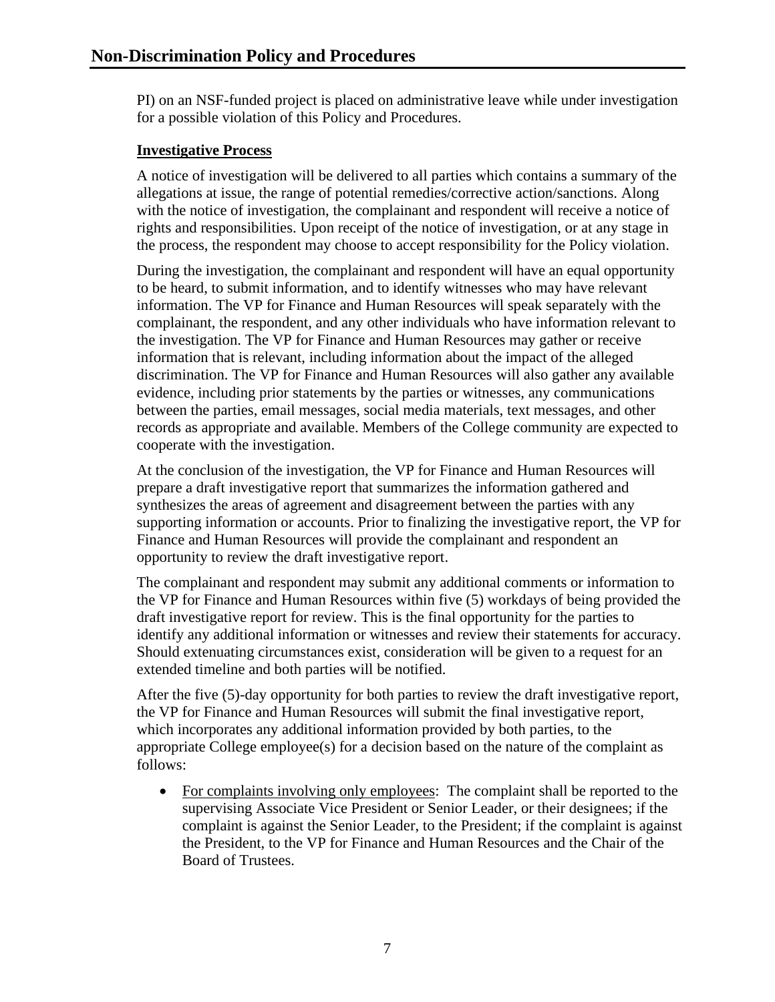PI) on an NSF-funded project is placed on administrative leave while under investigation for a possible violation of this Policy and Procedures.

#### **Investigative Process**

A notice of investigation will be delivered to all parties which contains a summary of the allegations at issue, the range of potential remedies/corrective action/sanctions. Along with the notice of investigation, the complainant and respondent will receive a notice of rights and responsibilities. Upon receipt of the notice of investigation, or at any stage in the process, the respondent may choose to accept responsibility for the Policy violation.

During the investigation, the complainant and respondent will have an equal opportunity to be heard, to submit information, and to identify witnesses who may have relevant information. The VP for Finance and Human Resources will speak separately with the complainant, the respondent, and any other individuals who have information relevant to the investigation. The VP for Finance and Human Resources may gather or receive information that is relevant, including information about the impact of the alleged discrimination. The VP for Finance and Human Resources will also gather any available evidence, including prior statements by the parties or witnesses, any communications between the parties, email messages, social media materials, text messages, and other records as appropriate and available. Members of the College community are expected to cooperate with the investigation.

At the conclusion of the investigation, the VP for Finance and Human Resources will prepare a draft investigative report that summarizes the information gathered and synthesizes the areas of agreement and disagreement between the parties with any supporting information or accounts. Prior to finalizing the investigative report, the VP for Finance and Human Resources will provide the complainant and respondent an opportunity to review the draft investigative report.

The complainant and respondent may submit any additional comments or information to the VP for Finance and Human Resources within five (5) workdays of being provided the draft investigative report for review. This is the final opportunity for the parties to identify any additional information or witnesses and review their statements for accuracy. Should extenuating circumstances exist, consideration will be given to a request for an extended timeline and both parties will be notified.

After the five (5)-day opportunity for both parties to review the draft investigative report, the VP for Finance and Human Resources will submit the final investigative report, which incorporates any additional information provided by both parties, to the appropriate College employee(s) for a decision based on the nature of the complaint as follows:

• For complaints involving only employees: The complaint shall be reported to the supervising Associate Vice President or Senior Leader, or their designees; if the complaint is against the Senior Leader, to the President; if the complaint is against the President, to the VP for Finance and Human Resources and the Chair of the Board of Trustees.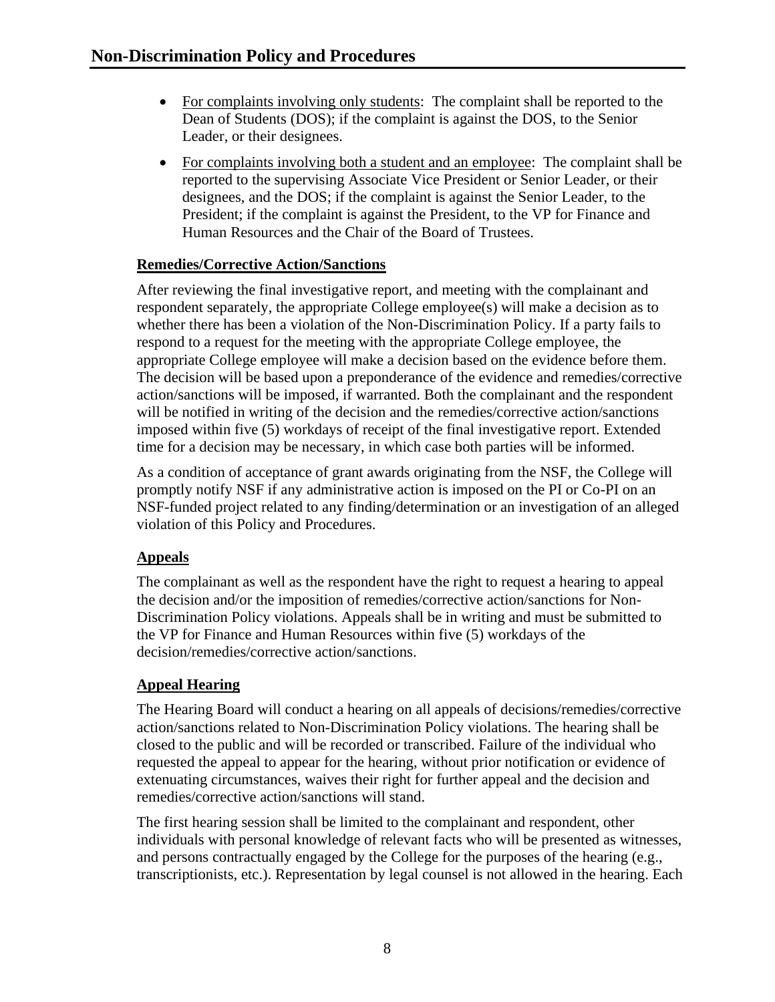- For complaints involving only students: The complaint shall be reported to the Dean of Students (DOS); if the complaint is against the DOS, to the Senior Leader, or their designees.
- For complaints involving both a student and an employee: The complaint shall be reported to the supervising Associate Vice President or Senior Leader, or their designees, and the DOS; if the complaint is against the Senior Leader, to the President; if the complaint is against the President, to the VP for Finance and Human Resources and the Chair of the Board of Trustees.

## **Remedies/Corrective Action/Sanctions**

After reviewing the final investigative report, and meeting with the complainant and respondent separately, the appropriate College employee(s) will make a decision as to whether there has been a violation of the Non-Discrimination Policy. If a party fails to respond to a request for the meeting with the appropriate College employee, the appropriate College employee will make a decision based on the evidence before them. The decision will be based upon a preponderance of the evidence and remedies/corrective action/sanctions will be imposed, if warranted. Both the complainant and the respondent will be notified in writing of the decision and the remedies/corrective action/sanctions imposed within five (5) workdays of receipt of the final investigative report. Extended time for a decision may be necessary, in which case both parties will be informed.

As a condition of acceptance of grant awards originating from the NSF, the College will promptly notify NSF if any administrative action is imposed on the PI or Co-PI on an NSF-funded project related to any finding/determination or an investigation of an alleged violation of this Policy and Procedures.

## **Appeals**

The complainant as well as the respondent have the right to request a hearing to appeal the decision and/or the imposition of remedies/corrective action/sanctions for Non-Discrimination Policy violations. Appeals shall be in writing and must be submitted to the VP for Finance and Human Resources within five (5) workdays of the decision/remedies/corrective action/sanctions.

## **Appeal Hearing**

The Hearing Board will conduct a hearing on all appeals of decisions/remedies/corrective action/sanctions related to Non-Discrimination Policy violations. The hearing shall be closed to the public and will be recorded or transcribed. Failure of the individual who requested the appeal to appear for the hearing, without prior notification or evidence of extenuating circumstances, waives their right for further appeal and the decision and remedies/corrective action/sanctions will stand.

The first hearing session shall be limited to the complainant and respondent, other individuals with personal knowledge of relevant facts who will be presented as witnesses, and persons contractually engaged by the College for the purposes of the hearing (e.g., transcriptionists, etc.). Representation by legal counsel is not allowed in the hearing. Each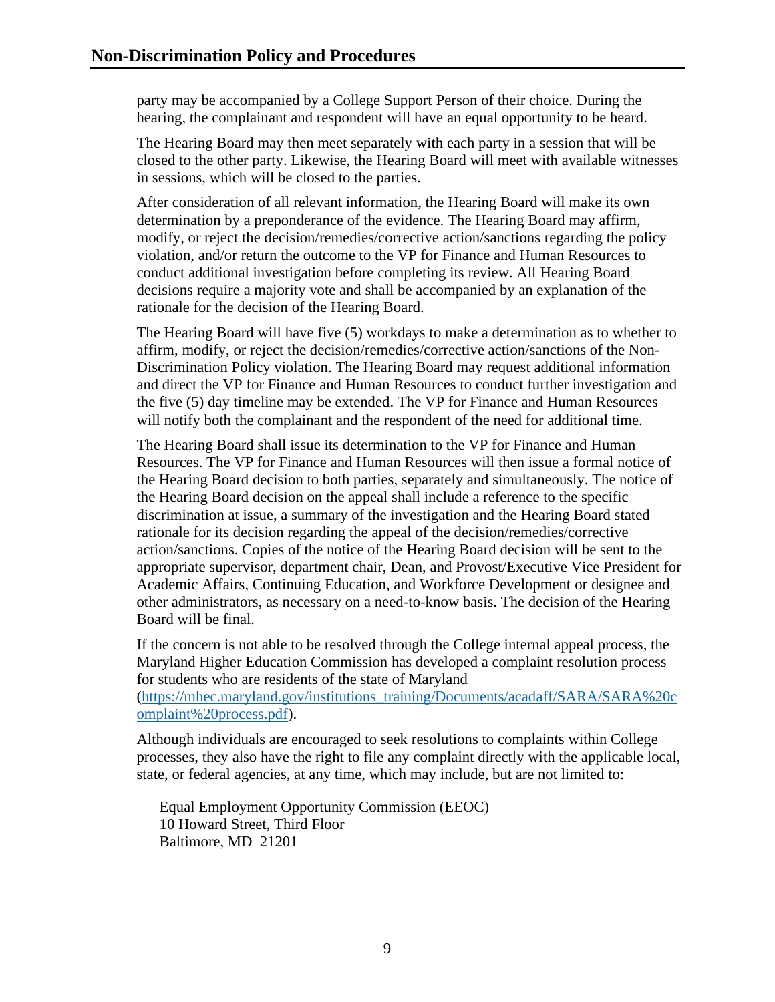party may be accompanied by a College Support Person of their choice. During the hearing, the complainant and respondent will have an equal opportunity to be heard.

The Hearing Board may then meet separately with each party in a session that will be closed to the other party. Likewise, the Hearing Board will meet with available witnesses in sessions, which will be closed to the parties.

After consideration of all relevant information, the Hearing Board will make its own determination by a preponderance of the evidence. The Hearing Board may affirm, modify, or reject the decision/remedies/corrective action/sanctions regarding the policy violation, and/or return the outcome to the VP for Finance and Human Resources to conduct additional investigation before completing its review. All Hearing Board decisions require a majority vote and shall be accompanied by an explanation of the rationale for the decision of the Hearing Board.

The Hearing Board will have five (5) workdays to make a determination as to whether to affirm, modify, or reject the decision/remedies/corrective action/sanctions of the Non-Discrimination Policy violation. The Hearing Board may request additional information and direct the VP for Finance and Human Resources to conduct further investigation and the five (5) day timeline may be extended. The VP for Finance and Human Resources will notify both the complainant and the respondent of the need for additional time.

The Hearing Board shall issue its determination to the VP for Finance and Human Resources. The VP for Finance and Human Resources will then issue a formal notice of the Hearing Board decision to both parties, separately and simultaneously. The notice of the Hearing Board decision on the appeal shall include a reference to the specific discrimination at issue, a summary of the investigation and the Hearing Board stated rationale for its decision regarding the appeal of the decision/remedies/corrective action/sanctions. Copies of the notice of the Hearing Board decision will be sent to the appropriate supervisor, department chair, Dean, and Provost/Executive Vice President for Academic Affairs, Continuing Education, and Workforce Development or designee and other administrators, as necessary on a need-to-know basis. The decision of the Hearing Board will be final.

If the concern is not able to be resolved through the College internal appeal process, the Maryland Higher Education Commission has developed a complaint resolution process for students who are residents of the state of Maryland

[\(https://mhec.maryland.gov/institutions\\_training/Documents/acadaff/SARA/SARA%20c](https://mhec.maryland.gov/institutions_training/Documents/acadaff/SARA/SARA%20complaint%20process.pdf) [omplaint%20process.pdf\)](https://mhec.maryland.gov/institutions_training/Documents/acadaff/SARA/SARA%20complaint%20process.pdf).

Although individuals are encouraged to seek resolutions to complaints within College processes, they also have the right to file any complaint directly with the applicable local, state, or federal agencies, at any time, which may include, but are not limited to:

Equal Employment Opportunity Commission (EEOC) 10 Howard Street, Third Floor Baltimore, MD 21201